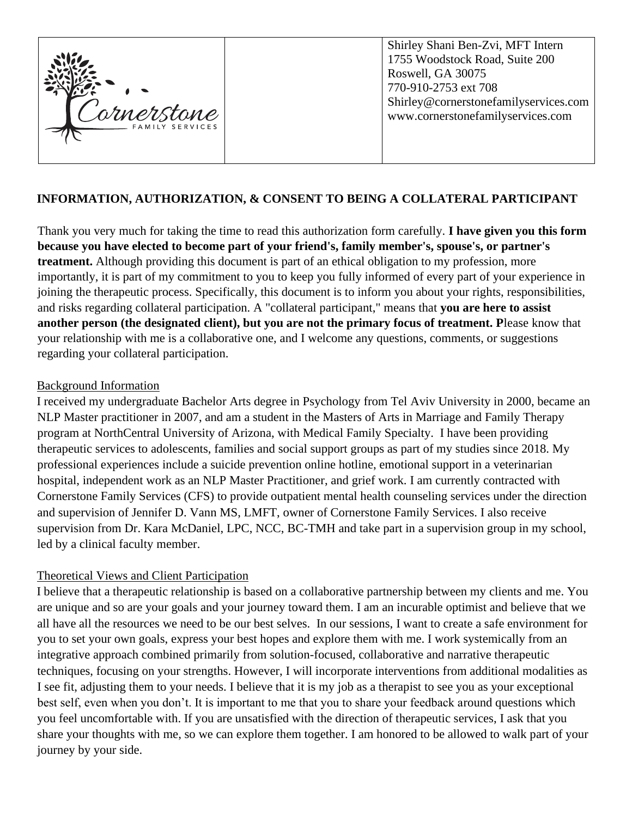

### **INFORMATION, AUTHORIZATION, & CONSENT TO BEING A COLLATERAL PARTICIPANT**

Thank you very much for taking the time to read this authorization form carefully. **I have given you this form because you have elected to become part of your friend's, family member's, spouse's, or partner's treatment.** Although providing this document is part of an ethical obligation to my profession, more importantly, it is part of my commitment to you to keep you fully informed of every part of your experience in joining the therapeutic process. Specifically, this document is to inform you about your rights, responsibilities, and risks regarding collateral participation. A "collateral participant," means that **you are here to assist another person (the designated client), but you are not the primary focus of treatment. P**lease know that your relationship with me is a collaborative one, and I welcome any questions, comments, or suggestions regarding your collateral participation.

#### Background Information

I received my undergraduate Bachelor Arts degree in Psychology from Tel Aviv University in 2000, became an NLP Master practitioner in 2007, and am a student in the Masters of Arts in Marriage and Family Therapy program at NorthCentral University of Arizona, with Medical Family Specialty. I have been providing therapeutic services to adolescents, families and social support groups as part of my studies since 2018. My professional experiences include a suicide prevention online hotline, emotional support in a veterinarian hospital, independent work as an NLP Master Practitioner, and grief work. I am currently contracted with Cornerstone Family Services (CFS) to provide outpatient mental health counseling services under the direction and supervision of Jennifer D. Vann MS, LMFT, owner of Cornerstone Family Services. I also receive supervision from Dr. Kara McDaniel, LPC, NCC, BC-TMH and take part in a supervision group in my school, led by a clinical faculty member.

#### Theoretical Views and Client Participation

I believe that a therapeutic relationship is based on a collaborative partnership between my clients and me. You are unique and so are your goals and your journey toward them. I am an incurable optimist and believe that we all have all the resources we need to be our best selves. In our sessions, I want to create a safe environment for you to set your own goals, express your best hopes and explore them with me. I work systemically from an integrative approach combined primarily from solution-focused, collaborative and narrative therapeutic techniques, focusing on your strengths. However, I will incorporate interventions from additional modalities as I see fit, adjusting them to your needs. I believe that it is my job as a therapist to see you as your exceptional best self, even when you don't. It is important to me that you to share your feedback around questions which you feel uncomfortable with. If you are unsatisfied with the direction of therapeutic services, I ask that you share your thoughts with me, so we can explore them together. I am honored to be allowed to walk part of your journey by your side.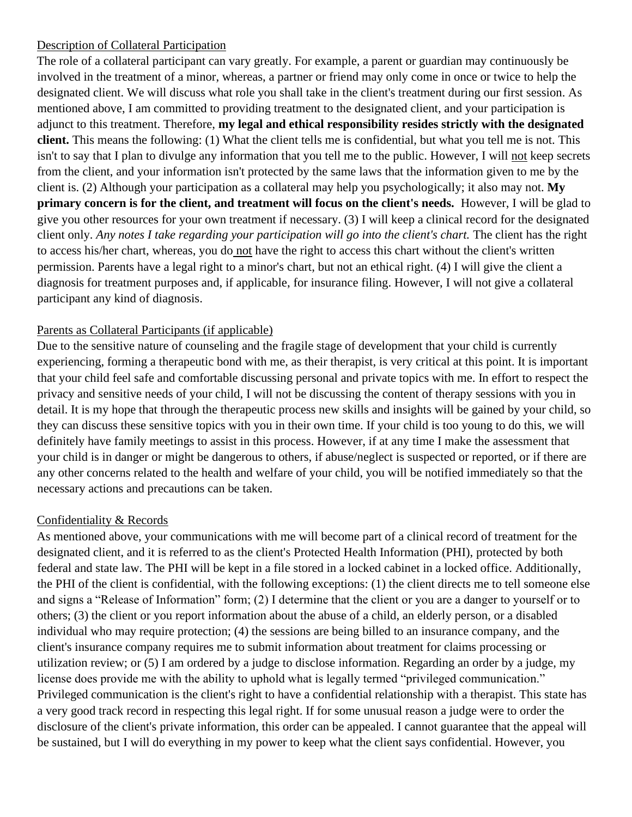### Description of Collateral Participation

The role of a collateral participant can vary greatly. For example, a parent or guardian may continuously be involved in the treatment of a minor, whereas, a partner or friend may only come in once or twice to help the designated client. We will discuss what role you shall take in the client's treatment during our first session. As mentioned above, I am committed to providing treatment to the designated client, and your participation is adjunct to this treatment. Therefore, **my legal and ethical responsibility resides strictly with the designated client.** This means the following: (1) What the client tells me is confidential, but what you tell me is not. This isn't to say that I plan to divulge any information that you tell me to the public. However, I will not keep secrets from the client, and your information isn't protected by the same laws that the information given to me by the client is. (2) Although your participation as a collateral may help you psychologically; it also may not. **My primary concern is for the client, and treatment will focus on the client's needs.** However, I will be glad to give you other resources for your own treatment if necessary. (3) I will keep a clinical record for the designated client only. Any notes I take regarding your participation will go into the client's chart. The client has the right to access his/her chart, whereas, you do not have the right to access this chart without the client's written permission. Parents have a legal right to a minor's chart, but not an ethical right. (4) I will give the client a diagnosis for treatment purposes and, if applicable, for insurance filing. However, I will not give a collateral participant any kind of diagnosis.

# Parents as Collateral Participants (if applicable)

Due to the sensitive nature of counseling and the fragile stage of development that your child is currently experiencing, forming a therapeutic bond with me, as their therapist, is very critical at this point. It is important that your child feel safe and comfortable discussing personal and private topics with me. In effort to respect the privacy and sensitive needs of your child, I will not be discussing the content of therapy sessions with you in detail. It is my hope that through the therapeutic process new skills and insights will be gained by your child, so they can discuss these sensitive topics with you in their own time. If your child is too young to do this, we will definitely have family meetings to assist in this process. However, if at any time I make the assessment that your child is in danger or might be dangerous to others, if abuse/neglect is suspected or reported, or if there are any other concerns related to the health and welfare of your child, you will be notified immediately so that the necessary actions and precautions can be taken.

#### Confidentiality & Records

As mentioned above, your communications with me will become part of a clinical record of treatment for the designated client, and it is referred to as the client's Protected Health Information (PHI), protected by both federal and state law. The PHI will be kept in a file stored in a locked cabinet in a locked office. Additionally, the PHI of the client is confidential, with the following exceptions: (1) the client directs me to tell someone else and signs a "Release of Information" form; (2) I determine that the client or you are a danger to yourself or to others; (3) the client or you report information about the abuse of a child, an elderly person, or a disabled individual who may require protection; (4) the sessions are being billed to an insurance company, and the client's insurance company requires me to submit information about treatment for claims processing or utilization review; or (5) I am ordered by a judge to disclose information. Regarding an order by a judge, my license does provide me with the ability to uphold what is legally termed "privileged communication." Privileged communication is the client's right to have a confidential relationship with a therapist. This state has a very good track record in respecting this legal right. If for some unusual reason a judge were to order the disclosure of the client's private information, this order can be appealed. I cannot guarantee that the appeal will be sustained, but I will do everything in my power to keep what the client says confidential. However, you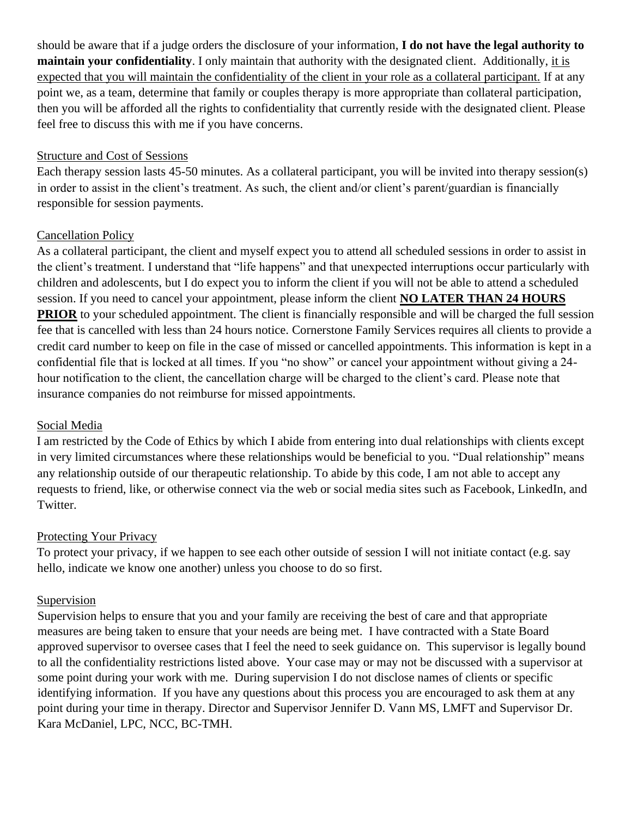should be aware that if a judge orders the disclosure of your information, **I do not have the legal authority to maintain your confidentiality**. I only maintain that authority with the designated client. Additionally, it is expected that you will maintain the confidentiality of the client in your role as a collateral participant. If at any point we, as a team, determine that family or couples therapy is more appropriate than collateral participation, then you will be afforded all the rights to confidentiality that currently reside with the designated client. Please feel free to discuss this with me if you have concerns.

#### Structure and Cost of Sessions

Each therapy session lasts 45-50 minutes. As a collateral participant, you will be invited into therapy session(s) in order to assist in the client's treatment. As such, the client and/or client's parent/guardian is financially responsible for session payments.

# Cancellation Policy

As a collateral participant, the client and myself expect you to attend all scheduled sessions in order to assist in the client's treatment. I understand that "life happens" and that unexpected interruptions occur particularly with children and adolescents, but I do expect you to inform the client if you will not be able to attend a scheduled session. If you need to cancel your appointment, please inform the client **NO LATER THAN 24 HOURS PRIOR** to your scheduled appointment. The client is financially responsible and will be charged the full session fee that is cancelled with less than 24 hours notice. Cornerstone Family Services requires all clients to provide a credit card number to keep on file in the case of missed or cancelled appointments. This information is kept in a confidential file that is locked at all times. If you "no show" or cancel your appointment without giving a 24 hour notification to the client, the cancellation charge will be charged to the client's card. Please note that insurance companies do not reimburse for missed appointments.

# Social Media

I am restricted by the Code of Ethics by which I abide from entering into dual relationships with clients except in very limited circumstances where these relationships would be beneficial to you. "Dual relationship" means any relationship outside of our therapeutic relationship. To abide by this code, I am not able to accept any requests to friend, like, or otherwise connect via the web or social media sites such as Facebook, LinkedIn, and Twitter.

#### Protecting Your Privacy

To protect your privacy, if we happen to see each other outside of session I will not initiate contact (e.g. say hello, indicate we know one another) unless you choose to do so first.

#### Supervision

Supervision helps to ensure that you and your family are receiving the best of care and that appropriate measures are being taken to ensure that your needs are being met. I have contracted with a State Board approved supervisor to oversee cases that I feel the need to seek guidance on. This supervisor is legally bound to all the confidentiality restrictions listed above. Your case may or may not be discussed with a supervisor at some point during your work with me. During supervision I do not disclose names of clients or specific identifying information. If you have any questions about this process you are encouraged to ask them at any point during your time in therapy. Director and Supervisor Jennifer D. Vann MS, LMFT and Supervisor Dr. Kara McDaniel, LPC, NCC, BC-TMH.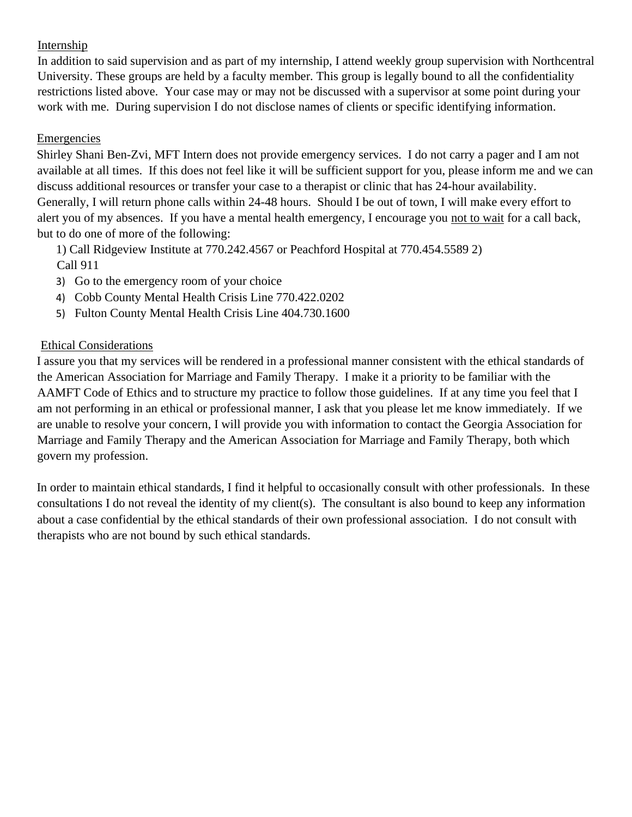# Internship

In addition to said supervision and as part of my internship, I attend weekly group supervision with Northcentral University. These groups are held by a faculty member. This group is legally bound to all the confidentiality restrictions listed above. Your case may or may not be discussed with a supervisor at some point during your work with me. During supervision I do not disclose names of clients or specific identifying information.

# Emergencies

Shirley Shani Ben-Zvi, MFT Intern does not provide emergency services. I do not carry a pager and I am not available at all times. If this does not feel like it will be sufficient support for you, please inform me and we can discuss additional resources or transfer your case to a therapist or clinic that has 24-hour availability. Generally, I will return phone calls within 24-48 hours. Should I be out of town, I will make every effort to alert you of my absences. If you have a mental health emergency, I encourage you not to wait for a call back, but to do one of more of the following:

1) Call Ridgeview Institute at 770.242.4567 or Peachford Hospital at 770.454.5589 2) Call 911

- 3) Go to the emergency room of your choice
- 4) Cobb County Mental Health Crisis Line 770.422.0202
- 5) Fulton County Mental Health Crisis Line 404.730.1600

#### Ethical Considerations

I assure you that my services will be rendered in a professional manner consistent with the ethical standards of the American Association for Marriage and Family Therapy. I make it a priority to be familiar with the AAMFT Code of Ethics and to structure my practice to follow those guidelines. If at any time you feel that I am not performing in an ethical or professional manner, I ask that you please let me know immediately. If we are unable to resolve your concern, I will provide you with information to contact the Georgia Association for Marriage and Family Therapy and the American Association for Marriage and Family Therapy, both which govern my profession.

In order to maintain ethical standards, I find it helpful to occasionally consult with other professionals. In these consultations I do not reveal the identity of my client(s). The consultant is also bound to keep any information about a case confidential by the ethical standards of their own professional association. I do not consult with therapists who are not bound by such ethical standards.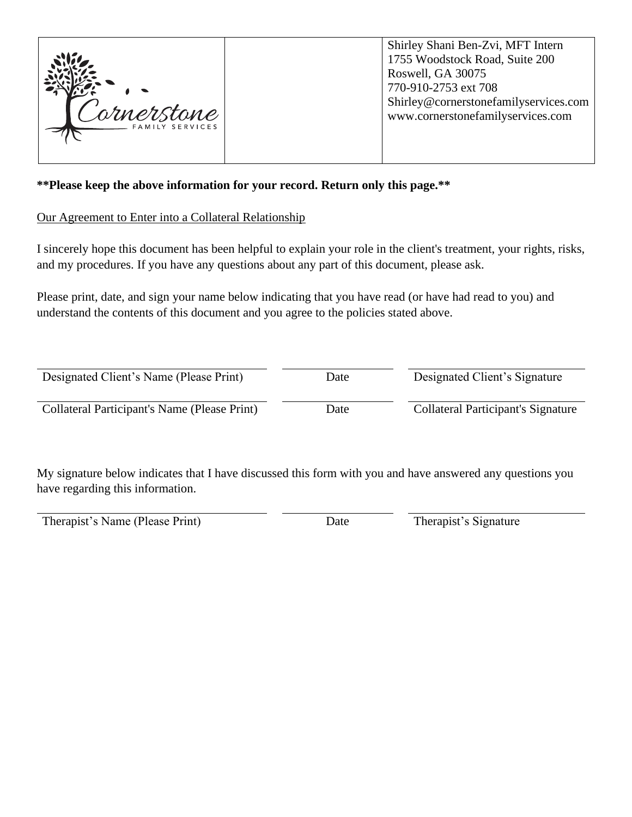

Shirley Shani Ben-Zvi, MFT Intern 1755 Woodstock Road, Suite 200 Roswell, GA 30075 770-910-2753 ext 708 Shirley@cornerstonefamilyservices.com www.cornerstonefamilyservices.com

### **\*\*Please keep the above information for your record. Return only this page.\*\***

#### Our Agreement to Enter into a Collateral Relationship

I sincerely hope this document has been helpful to explain your role in the client's treatment, your rights, risks, and my procedures. If you have any questions about any part of this document, please ask.

Please print, date, and sign your name below indicating that you have read (or have had read to you) and understand the contents of this document and you agree to the policies stated above.

| Designated Client's Name (Please Print)      | Date | Designated Client's Signature             |
|----------------------------------------------|------|-------------------------------------------|
| Collateral Participant's Name (Please Print) | Date | <b>Collateral Participant's Signature</b> |

My signature below indicates that I have discussed this form with you and have answered any questions you have regarding this information.

Therapist's Name (Please Print) Date Date Therapist's Signature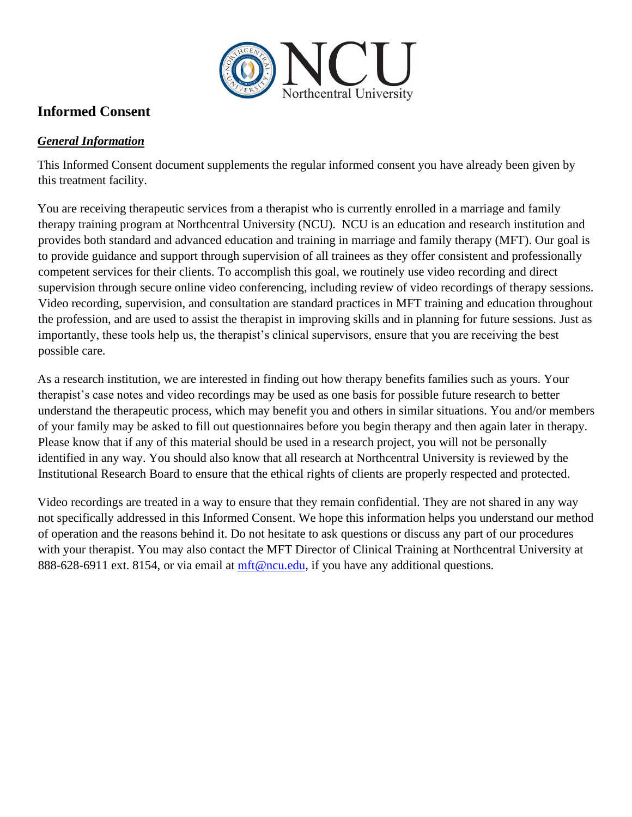

# **Informed Consent**

# *General Information*

This Informed Consent document supplements the regular informed consent you have already been given by this treatment facility.

You are receiving therapeutic services from a therapist who is currently enrolled in a marriage and family therapy training program at Northcentral University (NCU). NCU is an education and research institution and provides both standard and advanced education and training in marriage and family therapy (MFT). Our goal is to provide guidance and support through supervision of all trainees as they offer consistent and professionally competent services for their clients. To accomplish this goal, we routinely use video recording and direct supervision through secure online video conferencing, including review of video recordings of therapy sessions. Video recording, supervision, and consultation are standard practices in MFT training and education throughout the profession, and are used to assist the therapist in improving skills and in planning for future sessions. Just as importantly, these tools help us, the therapist's clinical supervisors, ensure that you are receiving the best possible care.

As a research institution, we are interested in finding out how therapy benefits families such as yours. Your therapist's case notes and video recordings may be used as one basis for possible future research to better understand the therapeutic process, which may benefit you and others in similar situations. You and/or members of your family may be asked to fill out questionnaires before you begin therapy and then again later in therapy. Please know that if any of this material should be used in a research project, you will not be personally identified in any way. You should also know that all research at Northcentral University is reviewed by the Institutional Research Board to ensure that the ethical rights of clients are properly respected and protected.

Video recordings are treated in a way to ensure that they remain confidential. They are not shared in any way not specifically addressed in this Informed Consent. We hope this information helps you understand our method of operation and the reasons behind it. Do not hesitate to ask questions or discuss any part of our procedures with your therapist. You may also contact the MFT Director of Clinical Training at Northcentral University at 888-628-6911 ext. 8154, or via email at [mft@ncu.edu,](mailto:mft@ncu.edu) if you have any additional questions.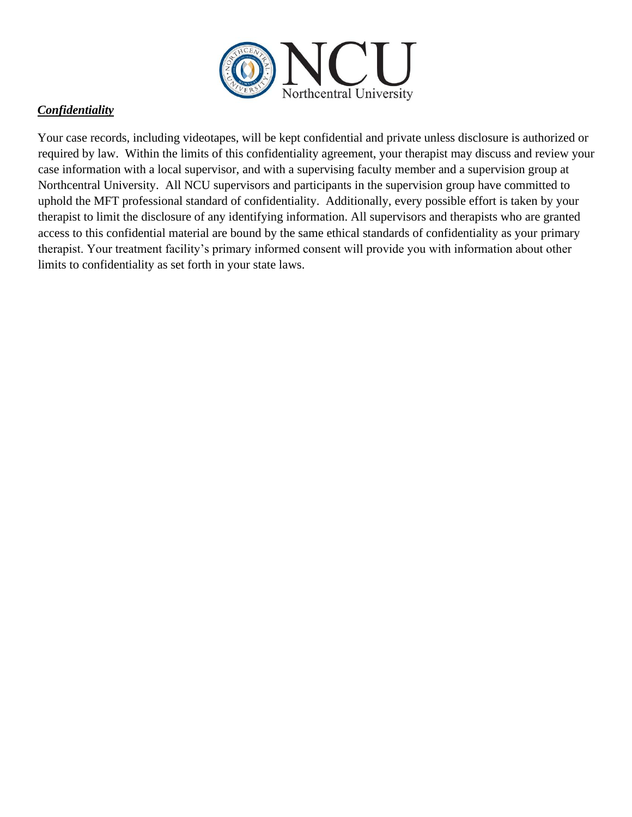

# *Confidentiality*

Your case records, including videotapes, will be kept confidential and private unless disclosure is authorized or required by law. Within the limits of this confidentiality agreement, your therapist may discuss and review your case information with a local supervisor, and with a supervising faculty member and a supervision group at Northcentral University. All NCU supervisors and participants in the supervision group have committed to uphold the MFT professional standard of confidentiality. Additionally, every possible effort is taken by your therapist to limit the disclosure of any identifying information. All supervisors and therapists who are granted access to this confidential material are bound by the same ethical standards of confidentiality as your primary therapist. Your treatment facility's primary informed consent will provide you with information about other limits to confidentiality as set forth in your state laws.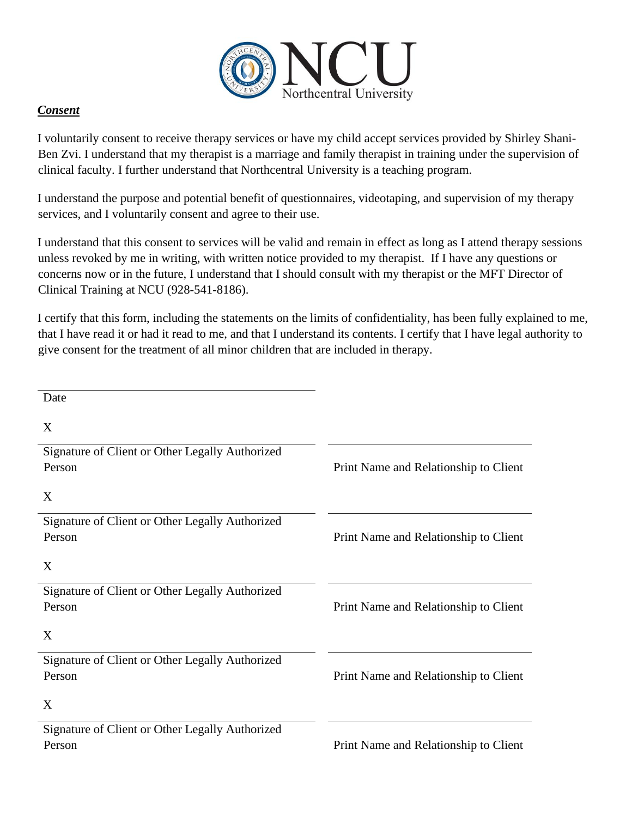

# *Consent*

I voluntarily consent to receive therapy services or have my child accept services provided by Shirley Shani-Ben Zvi. I understand that my therapist is a marriage and family therapist in training under the supervision of clinical faculty. I further understand that Northcentral University is a teaching program.

I understand the purpose and potential benefit of questionnaires, videotaping, and supervision of my therapy services, and I voluntarily consent and agree to their use.

I understand that this consent to services will be valid and remain in effect as long as I attend therapy sessions unless revoked by me in writing, with written notice provided to my therapist. If I have any questions or concerns now or in the future, I understand that I should consult with my therapist or the MFT Director of Clinical Training at NCU (928-541-8186).

I certify that this form, including the statements on the limits of confidentiality, has been fully explained to me, that I have read it or had it read to me, and that I understand its contents. I certify that I have legal authority to give consent for the treatment of all minor children that are included in therapy.

| Date                                            |                                       |
|-------------------------------------------------|---------------------------------------|
| X                                               |                                       |
| Signature of Client or Other Legally Authorized |                                       |
| Person                                          | Print Name and Relationship to Client |
| X                                               |                                       |
| Signature of Client or Other Legally Authorized |                                       |
| Person                                          | Print Name and Relationship to Client |
| X                                               |                                       |
| Signature of Client or Other Legally Authorized |                                       |
| Person                                          | Print Name and Relationship to Client |
| X                                               |                                       |
| Signature of Client or Other Legally Authorized |                                       |
| Person                                          | Print Name and Relationship to Client |
| X                                               |                                       |
| Signature of Client or Other Legally Authorized |                                       |
| Person                                          | Print Name and Relationship to Client |